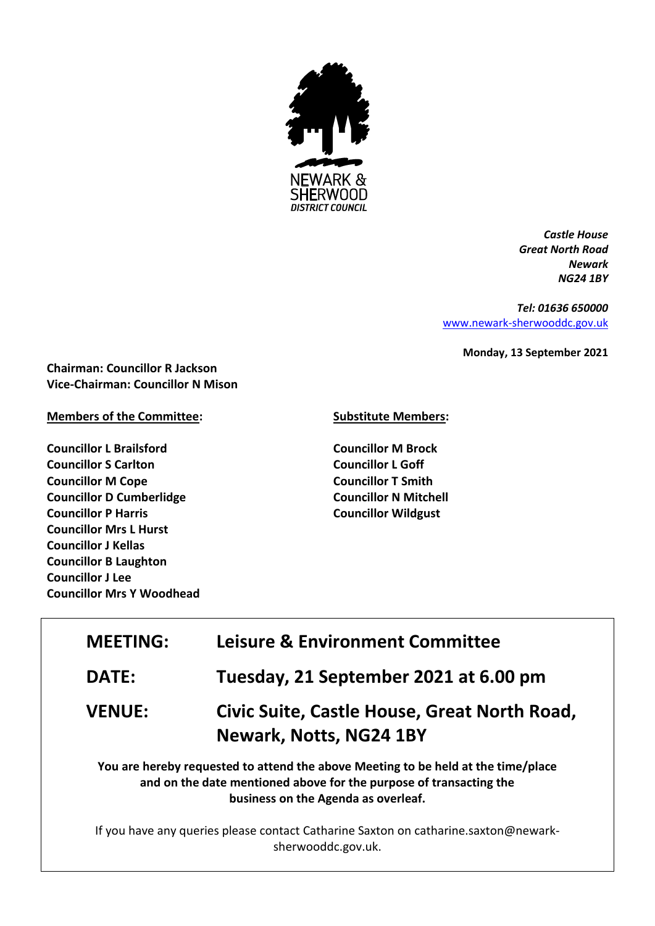

*Castle House Great North Road Newark NG24 1BY*

*Tel: 01636 650000* [www.newark-sherwooddc.gov.uk](http://www.newark-sherwooddc.gov.uk/)

**Monday, 13 September 2021**

**Chairman: Councillor R Jackson Vice-Chairman: Councillor N Mison**

## **Members of the Committee:**

**Councillor L Brailsford Councillor S Carlton Councillor M Cope Councillor D Cumberlidge Councillor P Harris Councillor Mrs L Hurst Councillor J Kellas Councillor B Laughton Councillor J Lee Councillor Mrs Y Woodhead**

## **Substitute Members:**

**Councillor M Brock Councillor L Goff Councillor T Smith Councillor N Mitchell Councillor Wildgust**

| <b>MEETING:</b> | <b>Leisure &amp; Environment Committee</b>                                        |  |
|-----------------|-----------------------------------------------------------------------------------|--|
| <b>DATE:</b>    | Tuesday, 21 September 2021 at 6.00 pm                                             |  |
| <b>VENUE:</b>   | Civic Suite, Castle House, Great North Road,                                      |  |
|                 | Newark, Notts, NG24 1BY                                                           |  |
|                 | You are hereby requested to attend the above Meeting to be held at the time/place |  |
|                 | and on the date mentioned above for the purpose of transacting the                |  |
|                 | business on the Agenda as overleaf.                                               |  |

If you have any queries please contact Catharine Saxton on catharine.saxton@newarksherwooddc.gov.uk.